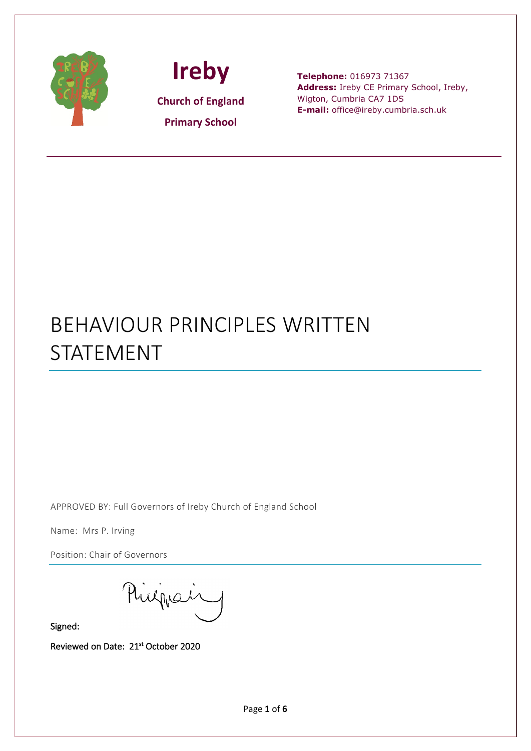

 $\overline{a}$ 



**Telephone:** 016973 71367 **Address:** Ireby CE Primary School, Ireby, Wigton, Cumbria CA7 1DS **E-mail:** office@ireby.cumbria.sch.uk

## BEHAVIOUR PRINCIPLES WRITTEN STATEMENT

APPROVED BY: Full Governors of Ireby Church of England School

Name: Mrs P. Irving

Position: Chair of Governors

Philippair

Signed:

Reviewed on Date: 21st October 2020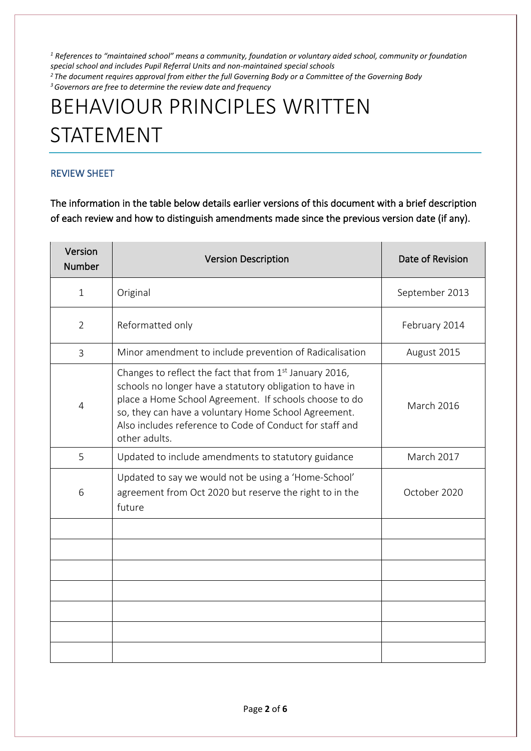*<sup>1</sup> References to "maintained school" means a community, foundation or voluntary aided school, community or foundation special school and includes Pupil Referral Units and non-maintained special schools 2 The document requires approval from either the full Governing Body or a Committee of the Governing Body 3 Governors are free to determine the review date and frequency*

# BEHAVIOUR PRINCIPLES WRITTEN STATEMENT

## REVIEW SHEET

The information in the table below details earlier versions of this document with a brief description of each review and how to distinguish amendments made since the previous version date (if any).

| Version<br><b>Number</b> | <b>Version Description</b>                                                                                                                                                                                                                                                                                                     | Date of Revision  |
|--------------------------|--------------------------------------------------------------------------------------------------------------------------------------------------------------------------------------------------------------------------------------------------------------------------------------------------------------------------------|-------------------|
| $\mathbf{1}$             | Original                                                                                                                                                                                                                                                                                                                       | September 2013    |
| $\overline{2}$           | Reformatted only                                                                                                                                                                                                                                                                                                               | February 2014     |
| $\overline{3}$           | Minor amendment to include prevention of Radicalisation                                                                                                                                                                                                                                                                        | August 2015       |
| 4                        | Changes to reflect the fact that from 1 <sup>st</sup> January 2016,<br>schools no longer have a statutory obligation to have in<br>place a Home School Agreement. If schools choose to do<br>so, they can have a voluntary Home School Agreement.<br>Also includes reference to Code of Conduct for staff and<br>other adults. | <b>March 2016</b> |
| 5                        | Updated to include amendments to statutory guidance                                                                                                                                                                                                                                                                            | <b>March 2017</b> |
| 6                        | Updated to say we would not be using a 'Home-School'<br>agreement from Oct 2020 but reserve the right to in the<br>future                                                                                                                                                                                                      | October 2020      |
|                          |                                                                                                                                                                                                                                                                                                                                |                   |
|                          |                                                                                                                                                                                                                                                                                                                                |                   |
|                          |                                                                                                                                                                                                                                                                                                                                |                   |
|                          |                                                                                                                                                                                                                                                                                                                                |                   |
|                          |                                                                                                                                                                                                                                                                                                                                |                   |
|                          |                                                                                                                                                                                                                                                                                                                                |                   |
|                          |                                                                                                                                                                                                                                                                                                                                |                   |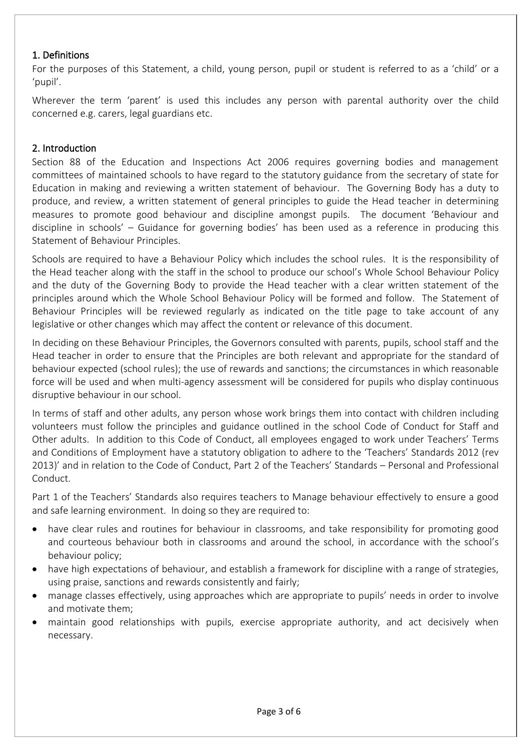## 1. Definitions

For the purposes of this Statement, a child, young person, pupil or student is referred to as a 'child' or a 'pupil'.

Wherever the term 'parent' is used this includes any person with parental authority over the child concerned e.g. carers, legal guardians etc.

## 2. Introduction

Section 88 of the Education and Inspections Act 2006 requires governing bodies and management committees of maintained schools to have regard to the statutory guidance from the secretary of state for Education in making and reviewing a written statement of behaviour. The Governing Body has a duty to produce, and review, a written statement of general principles to guide the Head teacher in determining measures to promote good behaviour and discipline amongst pupils. The document 'Behaviour and discipline in schools' – Guidance for governing bodies' has been used as a reference in producing this Statement of Behaviour Principles.

Schools are required to have a Behaviour Policy which includes the school rules. It is the responsibility of the Head teacher along with the staff in the school to produce our school's Whole School Behaviour Policy and the duty of the Governing Body to provide the Head teacher with a clear written statement of the principles around which the Whole School Behaviour Policy will be formed and follow. The Statement of Behaviour Principles will be reviewed regularly as indicated on the title page to take account of any legislative or other changes which may affect the content or relevance of this document.

In deciding on these Behaviour Principles, the Governors consulted with parents, pupils, school staff and the Head teacher in order to ensure that the Principles are both relevant and appropriate for the standard of behaviour expected (school rules); the use of rewards and sanctions; the circumstances in which reasonable force will be used and when multi-agency assessment will be considered for pupils who display continuous disruptive behaviour in our school.

In terms of staff and other adults, any person whose work brings them into contact with children including volunteers must follow the principles and guidance outlined in the school Code of Conduct for Staff and Other adults. In addition to this Code of Conduct, all employees engaged to work under Teachers' Terms and Conditions of Employment have a statutory obligation to adhere to the 'Teachers' Standards 2012 (rev 2013)' and in relation to the Code of Conduct, Part 2 of the Teachers' Standards – Personal and Professional Conduct.

Part 1 of the Teachers' Standards also requires teachers to Manage behaviour effectively to ensure a good and safe learning environment. In doing so they are required to:

- have clear rules and routines for behaviour in classrooms, and take responsibility for promoting good and courteous behaviour both in classrooms and around the school, in accordance with the school's behaviour policy;
- have high expectations of behaviour, and establish a framework for discipline with a range of strategies, using praise, sanctions and rewards consistently and fairly;
- manage classes effectively, using approaches which are appropriate to pupils' needs in order to involve and motivate them;
- maintain good relationships with pupils, exercise appropriate authority, and act decisively when necessary.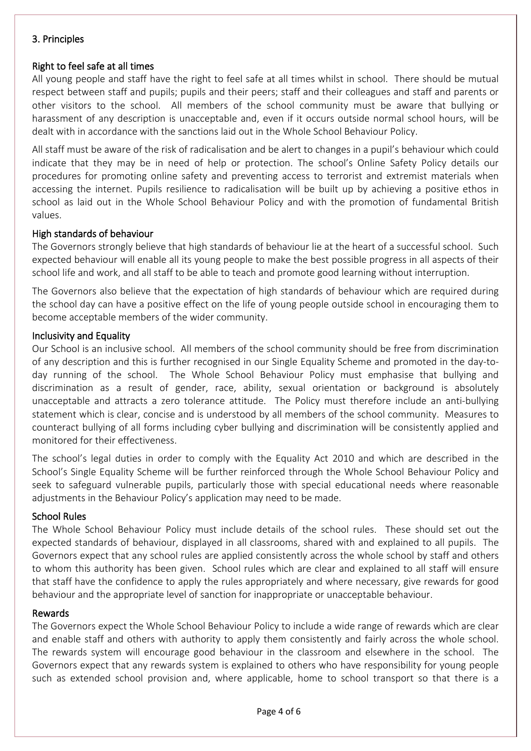## 3. Principles

## Right to feel safe at all times

All young people and staff have the right to feel safe at all times whilst in school. There should be mutual respect between staff and pupils; pupils and their peers; staff and their colleagues and staff and parents or other visitors to the school. All members of the school community must be aware that bullying or harassment of any description is unacceptable and, even if it occurs outside normal school hours, will be dealt with in accordance with the sanctions laid out in the Whole School Behaviour Policy.

All staff must be aware of the risk of radicalisation and be alert to changes in a pupil's behaviour which could indicate that they may be in need of help or protection. The school's Online Safety Policy details our procedures for promoting online safety and preventing access to terrorist and extremist materials when accessing the internet. Pupils resilience to radicalisation will be built up by achieving a positive ethos in school as laid out in the Whole School Behaviour Policy and with the promotion of fundamental British values.

#### High standards of behaviour

The Governors strongly believe that high standards of behaviour lie at the heart of a successful school. Such expected behaviour will enable all its young people to make the best possible progress in all aspects of their school life and work, and all staff to be able to teach and promote good learning without interruption.

The Governors also believe that the expectation of high standards of behaviour which are required during the school day can have a positive effect on the life of young people outside school in encouraging them to become acceptable members of the wider community.

#### Inclusivity and Equality

Our School is an inclusive school. All members of the school community should be free from discrimination of any description and this is further recognised in our Single Equality Scheme and promoted in the day-today running of the school. The Whole School Behaviour Policy must emphasise that bullying and discrimination as a result of gender, race, ability, sexual orientation or background is absolutely unacceptable and attracts a zero tolerance attitude. The Policy must therefore include an anti-bullying statement which is clear, concise and is understood by all members of the school community. Measures to counteract bullying of all forms including cyber bullying and discrimination will be consistently applied and monitored for their effectiveness.

The school's legal duties in order to comply with the Equality Act 2010 and which are described in the School's Single Equality Scheme will be further reinforced through the Whole School Behaviour Policy and seek to safeguard vulnerable pupils, particularly those with special educational needs where reasonable adjustments in the Behaviour Policy's application may need to be made.

#### School Rules

The Whole School Behaviour Policy must include details of the school rules. These should set out the expected standards of behaviour, displayed in all classrooms, shared with and explained to all pupils. The Governors expect that any school rules are applied consistently across the whole school by staff and others to whom this authority has been given. School rules which are clear and explained to all staff will ensure that staff have the confidence to apply the rules appropriately and where necessary, give rewards for good behaviour and the appropriate level of sanction for inappropriate or unacceptable behaviour.

#### Rewards

The Governors expect the Whole School Behaviour Policy to include a wide range of rewards which are clear and enable staff and others with authority to apply them consistently and fairly across the whole school. The rewards system will encourage good behaviour in the classroom and elsewhere in the school. The Governors expect that any rewards system is explained to others who have responsibility for young people such as extended school provision and, where applicable, home to school transport so that there is a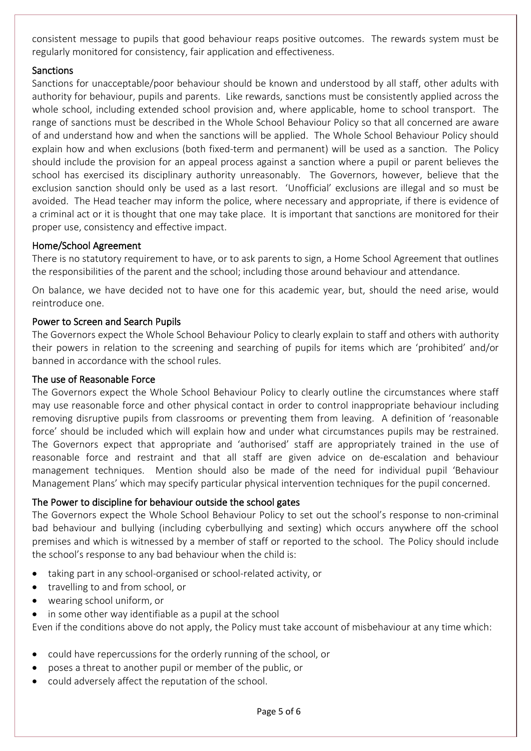consistent message to pupils that good behaviour reaps positive outcomes. The rewards system must be regularly monitored for consistency, fair application and effectiveness.

## Sanctions

Sanctions for unacceptable/poor behaviour should be known and understood by all staff, other adults with authority for behaviour, pupils and parents. Like rewards, sanctions must be consistently applied across the whole school, including extended school provision and, where applicable, home to school transport. The range of sanctions must be described in the Whole School Behaviour Policy so that all concerned are aware of and understand how and when the sanctions will be applied. The Whole School Behaviour Policy should explain how and when exclusions (both fixed-term and permanent) will be used as a sanction. The Policy should include the provision for an appeal process against a sanction where a pupil or parent believes the school has exercised its disciplinary authority unreasonably. The Governors, however, believe that the exclusion sanction should only be used as a last resort. 'Unofficial' exclusions are illegal and so must be avoided. The Head teacher may inform the police, where necessary and appropriate, if there is evidence of a criminal act or it is thought that one may take place. It is important that sanctions are monitored for their proper use, consistency and effective impact.

## Home/School Agreement

There is no statutory requirement to have, or to ask parents to sign, a Home School Agreement that outlines the responsibilities of the parent and the school; including those around behaviour and attendance.

On balance, we have decided not to have one for this academic year, but, should the need arise, would reintroduce one.

## Power to Screen and Search Pupils

The Governors expect the Whole School Behaviour Policy to clearly explain to staff and others with authority their powers in relation to the screening and searching of pupils for items which are 'prohibited' and/or banned in accordance with the school rules.

## The use of Reasonable Force

The Governors expect the Whole School Behaviour Policy to clearly outline the circumstances where staff may use reasonable force and other physical contact in order to control inappropriate behaviour including removing disruptive pupils from classrooms or preventing them from leaving. A definition of 'reasonable force' should be included which will explain how and under what circumstances pupils may be restrained. The Governors expect that appropriate and 'authorised' staff are appropriately trained in the use of reasonable force and restraint and that all staff are given advice on de-escalation and behaviour management techniques. Mention should also be made of the need for individual pupil 'Behaviour Management Plans' which may specify particular physical intervention techniques for the pupil concerned.

## The Power to discipline for behaviour outside the school gates

The Governors expect the Whole School Behaviour Policy to set out the school's response to non-criminal bad behaviour and bullying (including cyberbullying and sexting) which occurs anywhere off the school premises and which is witnessed by a member of staff or reported to the school. The Policy should include the school's response to any bad behaviour when the child is:

- taking part in any school-organised or school-related activity, or
- travelling to and from school, or
- wearing school uniform, or
- in some other way identifiable as a pupil at the school

Even if the conditions above do not apply, the Policy must take account of misbehaviour at any time which:

- could have repercussions for the orderly running of the school, or
- poses a threat to another pupil or member of the public, or
- could adversely affect the reputation of the school.